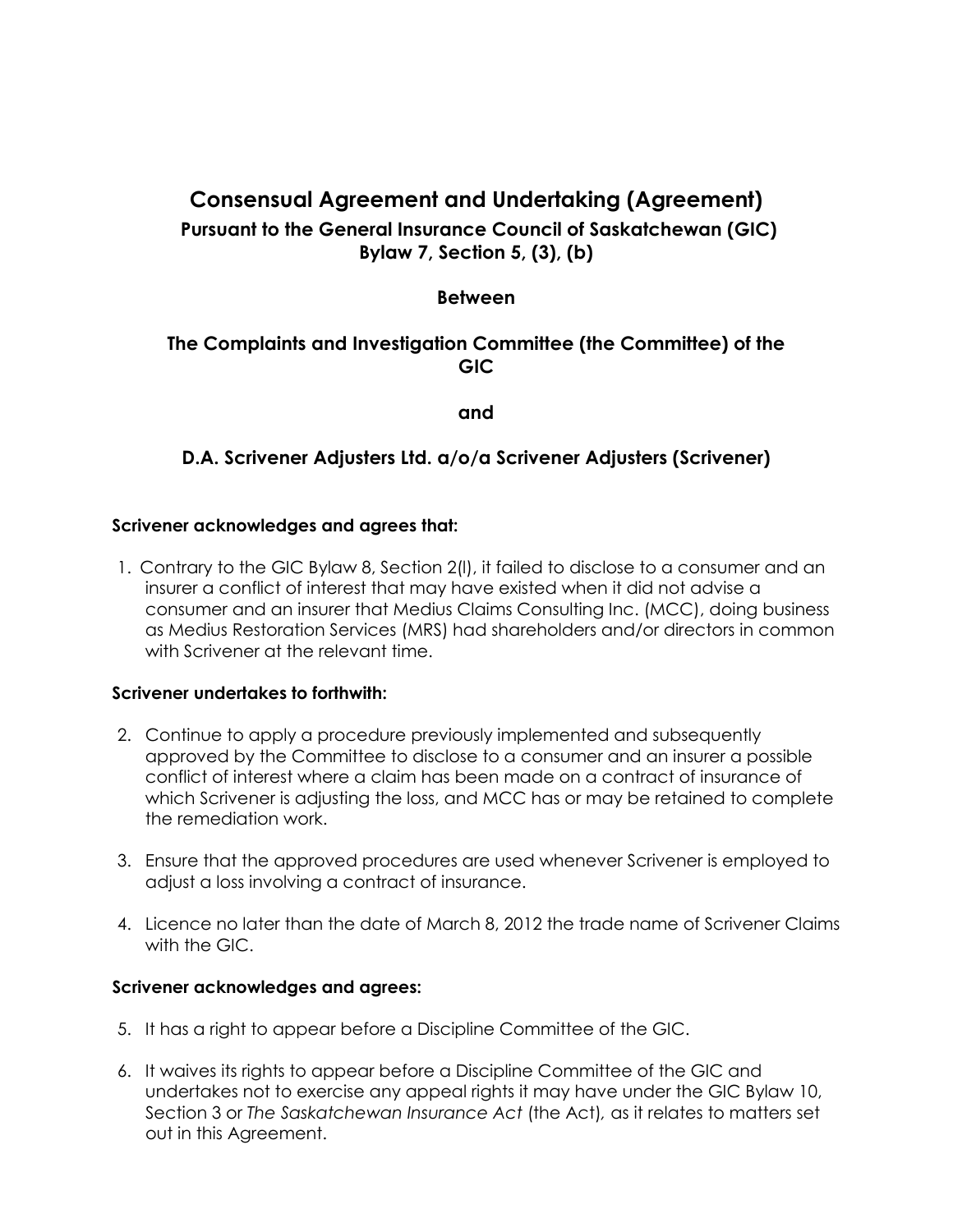# **Consensual Agreement and Undertaking (Agreement)**

# **Pursuant to the General Insurance Council of Saskatchewan (GIC) Bylaw 7, Section 5, (3), (b)**

## **Between**

# **The Complaints and Investigation Committee (the Committee) of the GIC**

**and**

## **D.A. Scrivener Adjusters Ltd. a/o/a Scrivener Adjusters (Scrivener)**

## **Scrivener acknowledges and agrees that:**

1. Contrary to the GIC Bylaw 8, Section 2(l), it failed to disclose to a consumer and an insurer a conflict of interest that may have existed when it did not advise a consumer and an insurer that Medius Claims Consulting Inc. (MCC), doing business as Medius Restoration Services (MRS) had shareholders and/or directors in common with Scrivener at the relevant time.

## **Scrivener undertakes to forthwith:**

- 2. Continue to apply a procedure previously implemented and subsequently approved by the Committee to disclose to a consumer and an insurer a possible conflict of interest where a claim has been made on a contract of insurance of which Scrivener is adjusting the loss, and MCC has or may be retained to complete the remediation work.
- 3. Ensure that the approved procedures are used whenever Scrivener is employed to adjust a loss involving a contract of insurance.
- 4. Licence no later than the date of March 8, 2012 the trade name of Scrivener Claims with the GIC.

#### **Scrivener acknowledges and agrees:**

- 5. It has a right to appear before a Discipline Committee of the GIC.
- 6. It waives its rights to appear before a Discipline Committee of the GIC and undertakes not to exercise any appeal rights it may have under the GIC Bylaw 10, Section 3 or *The Saskatchewan Insurance Act* (the Act)*,* as it relates to matters set out in this Agreement.